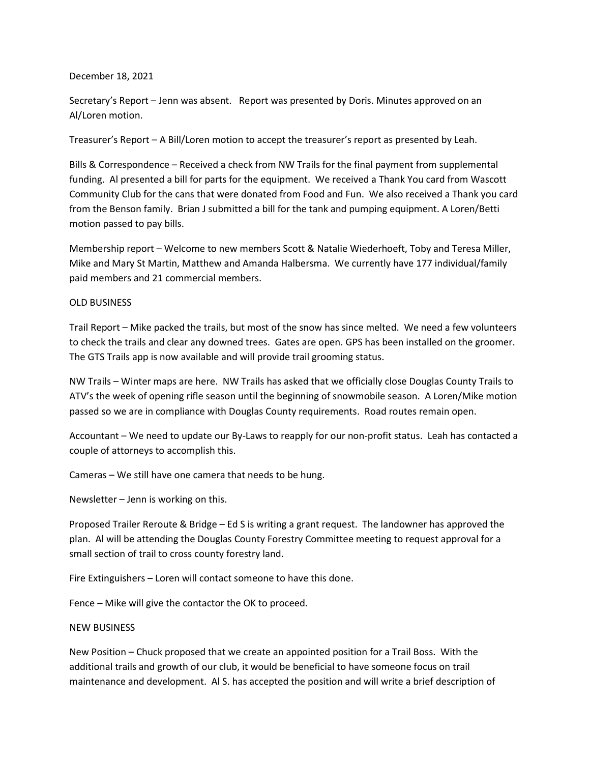## December 18, 2021

Secretary's Report – Jenn was absent. Report was presented by Doris. Minutes approved on an Al/Loren motion.

Treasurer's Report – A Bill/Loren motion to accept the treasurer's report as presented by Leah.

Bills & Correspondence – Received a check from NW Trails for the final payment from supplemental funding. Al presented a bill for parts for the equipment. We received a Thank You card from Wascott Community Club for the cans that were donated from Food and Fun. We also received a Thank you card from the Benson family. Brian J submitted a bill for the tank and pumping equipment. A Loren/Betti motion passed to pay bills.

Membership report – Welcome to new members Scott & Natalie Wiederhoeft, Toby and Teresa Miller, Mike and Mary St Martin, Matthew and Amanda Halbersma. We currently have 177 individual/family paid members and 21 commercial members.

## OLD BUSINESS

Trail Report – Mike packed the trails, but most of the snow has since melted. We need a few volunteers to check the trails and clear any downed trees. Gates are open. GPS has been installed on the groomer. The GTS Trails app is now available and will provide trail grooming status.

NW Trails – Winter maps are here. NW Trails has asked that we officially close Douglas County Trails to ATV's the week of opening rifle season until the beginning of snowmobile season. A Loren/Mike motion passed so we are in compliance with Douglas County requirements. Road routes remain open.

Accountant – We need to update our By-Laws to reapply for our non-profit status. Leah has contacted a couple of attorneys to accomplish this.

Cameras – We still have one camera that needs to be hung.

Newsletter – Jenn is working on this.

Proposed Trailer Reroute & Bridge – Ed S is writing a grant request. The landowner has approved the plan. Al will be attending the Douglas County Forestry Committee meeting to request approval for a small section of trail to cross county forestry land.

Fire Extinguishers – Loren will contact someone to have this done.

Fence – Mike will give the contactor the OK to proceed.

## NEW BUSINESS

New Position – Chuck proposed that we create an appointed position for a Trail Boss. With the additional trails and growth of our club, it would be beneficial to have someone focus on trail maintenance and development. Al S. has accepted the position and will write a brief description of